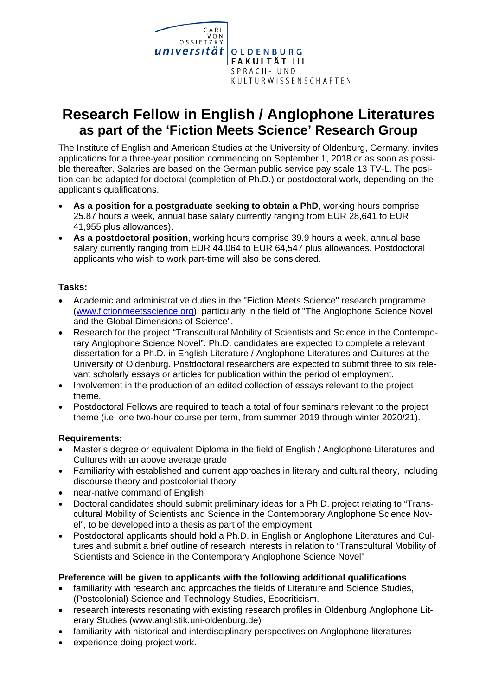

# **Research Fellow in English / Anglophone Literatures as part of the 'Fiction Meets Science' Research Group**

The Institute of English and American Studies at the University of Oldenburg, Germany, invites applications for a three-year position commencing on September 1, 2018 or as soon as possible thereafter. Salaries are based on the German public service pay scale 13 TV-L. The position can be adapted for doctoral (completion of Ph.D.) or postdoctoral work, depending on the applicant's qualifications.

- **As a position for a postgraduate seeking to obtain a PhD**, working hours comprise 25.87 hours a week, annual base salary currently ranging from EUR 28,641 to EUR 41,955 plus allowances).
- **As a postdoctoral position**, working hours comprise 39.9 hours a week, annual base salary currently ranging from EUR 44,064 to EUR 64,547 plus allowances. Postdoctoral applicants who wish to work part-time will also be considered.

## **Tasks:**

- Academic and administrative duties in the "Fiction Meets Science" research programme (www.fictionmeetsscience.org), particularly in the field of "The Anglophone Science Novel and the Global Dimensions of Science".
- Research for the project "Transcultural Mobility of Scientists and Science in the Contemporary Anglophone Science Novel". Ph.D. candidates are expected to complete a relevant dissertation for a Ph.D. in English Literature / Anglophone Literatures and Cultures at the University of Oldenburg. Postdoctoral researchers are expected to submit three to six relevant scholarly essays or articles for publication within the period of employment.
- Involvement in the production of an edited collection of essays relevant to the project theme.
- Postdoctoral Fellows are required to teach a total of four seminars relevant to the project theme (i.e. one two-hour course per term, from summer 2019 through winter 2020/21).

# **Requirements:**

- Master's degree or equivalent Diploma in the field of English / Anglophone Literatures and Cultures with an above average grade
- Familiarity with established and current approaches in literary and cultural theory, including discourse theory and postcolonial theory
- near-native command of English
- Doctoral candidates should submit preliminary ideas for a Ph.D. project relating to "Transcultural Mobility of Scientists and Science in the Contemporary Anglophone Science Novel", to be developed into a thesis as part of the employment
- Postdoctoral applicants should hold a Ph.D. in English or Anglophone Literatures and Cultures and submit a brief outline of research interests in relation to "Transcultural Mobility of Scientists and Science in the Contemporary Anglophone Science Novel"

## **Preference will be given to applicants with the following additional qualifications**

- familiarity with research and approaches the fields of Literature and Science Studies, (Postcolonial) Science and Technology Studies, Ecocriticism.
- research interests resonating with existing research profiles in Oldenburg Anglophone Literary Studies (www.anglistik.uni-oldenburg.de)
- familiarity with historical and interdisciplinary perspectives on Anglophone literatures
- experience doing project work.